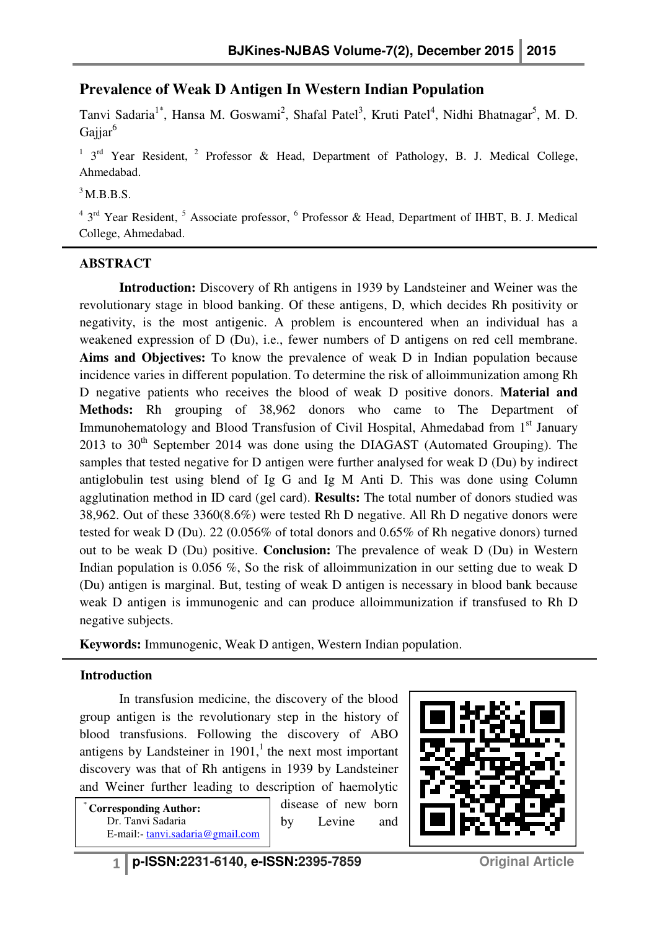# **Prevalence of Weak D Antigen In Western Indian Population**

Tanvi Sadaria<sup>1\*</sup>, Hansa M. Goswami<sup>2</sup>, Shafal Patel<sup>3</sup>, Kruti Patel<sup>4</sup>, Nidhi Bhatnagar<sup>5</sup>, M. D. Gaijar<sup>6</sup>

<sup>1</sup> 3<sup>rd</sup> Year Resident, <sup>2</sup> Professor & Head, Department of Pathology, B. J. Medical College, Ahmedabad.

## $3$  M.B.B.S.

<sup>4</sup> 3<sup>rd</sup> Year Resident, <sup>5</sup> Associate professor, <sup>6</sup> Professor & Head, Department of IHBT, B. J. Medical College, Ahmedabad.

## **ABSTRACT**

 **Introduction:** Discovery of Rh antigens in 1939 by Landsteiner and Weiner was the revolutionary stage in blood banking. Of these antigens, D, which decides Rh positivity or negativity, is the most antigenic. A problem is encountered when an individual has a weakened expression of D (Du), i.e., fewer numbers of D antigens on red cell membrane. **Aims and Objectives:** To know the prevalence of weak D in Indian population because incidence varies in different population. To determine the risk of alloimmunization among Rh D negative patients who receives the blood of weak D positive donors. **Material and Methods:** Rh grouping of 38,962 donors who came to The Department of Immunohematology and Blood Transfusion of Civil Hospital, Ahmedabad from 1<sup>st</sup> January 2013 to  $30<sup>th</sup>$  September 2014 was done using the DIAGAST (Automated Grouping). The samples that tested negative for D antigen were further analysed for weak D (Du) by indirect antiglobulin test using blend of Ig G and Ig M Anti D. This was done using Column agglutination method in ID card (gel card). **Results:** The total number of donors studied was 38,962. Out of these 3360(8.6%) were tested Rh D negative. All Rh D negative donors were tested for weak D (Du). 22 (0.056% of total donors and 0.65% of Rh negative donors) turned out to be weak D (Du) positive. **Conclusion:** The prevalence of weak D (Du) in Western Indian population is 0.056 %, So the risk of alloimmunization in our setting due to weak D (Du) antigen is marginal. But, testing of weak D antigen is necessary in blood bank becau because weak D antigen is immunogenic and can produce alloimmunization if transfused to Rh D negative subjects. ative patients who receives the blood of weak D positive donors. **Material and**<br>ds: Rh grouping of 38,962 donors who came to The Department of<br>nohematology and Blood Transfusion of Civil Hospital, Ahmedabad from 1<sup>st</sup> Janu

**Keywords:** Immunogenic, Weak D antigen, Western Indian population.

## **Introduction**

In transfusion medicine, the discovery of the blood group antigen is the revolutionary step in the history of blood transfusions. Following the discovery of ABO antigens by Landsteiner in  $1901$ , the next most important discovery was that of Rh antigens in 1939 by Landsteiner and Weiner further leading to description of haemolytic

**Corresponding Author:** Dr. Tanvi Sadaria E-mail:- tanvi.sadaria@gmail.com disease of new born by Levine and

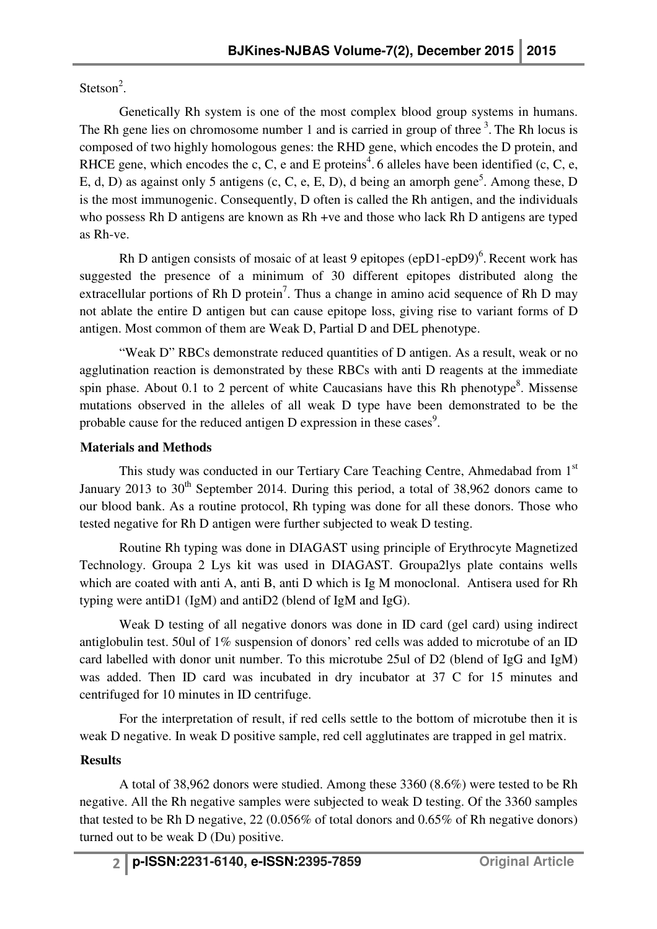Stetson<sup>2</sup>.

 Genetically Rh system is one of the most complex blood group systems in humans. The Rh gene lies on chromosome number 1 and is carried in group of three  $3$ . The Rh locus is composed of two highly homologous genes: the RHD gene, which encodes the D protein, and RHCE gene, which encodes the c, C, e and E proteins<sup>4</sup>. 6 alleles have been identified (c, C, e, E, d, D) as against only 5 antigens (c, C, e, E, D), d being an amorph gene<sup>5</sup>. Among these, D is the most immunogenic. Consequently, D often is called the Rh antigen, and the individuals who possess Rh D antigens are known as Rh +ve and those who lack Rh D antigens are typed as Rh-ve.

Rh D antigen consists of mosaic of at least 9 epitopes (epD1-epD9) $<sup>6</sup>$ . Recent work has</sup> suggested the presence of a minimum of 30 different epitopes distributed along the extracellular portions of Rh D protein<sup>7</sup>. Thus a change in amino acid sequence of Rh D may not ablate the entire D antigen but can cause epitope loss, giving rise to variant forms of D antigen. Most common of them are Weak D, Partial D and DEL phenotype.

 "Weak D" RBCs demonstrate reduced quantities of D antigen. As a result, weak or no agglutination reaction is demonstrated by these RBCs with anti D reagents at the immediate spin phase. About 0.1 to 2 percent of white Caucasians have this Rh phenotype $8$ . Missense mutations observed in the alleles of all weak D type have been demonstrated to be the probable cause for the reduced antigen D expression in these cases<sup>9</sup>.

## **Materials and Methods**

This study was conducted in our Tertiary Care Teaching Centre, Ahmedabad from 1<sup>st</sup> January 2013 to  $30<sup>th</sup>$  September 2014. During this period, a total of 38,962 donors came to our blood bank. As a routine protocol, Rh typing was done for all these donors. Those who tested negative for Rh D antigen were further subjected to weak D testing.

 Routine Rh typing was done in DIAGAST using principle of Erythrocyte Magnetized Technology. Groupa 2 Lys kit was used in DIAGAST. Groupa2lys plate contains wells which are coated with anti A, anti B, anti D which is Ig M monoclonal. Antisera used for Rh typing were antiD1 (IgM) and antiD2 (blend of IgM and IgG).

 Weak D testing of all negative donors was done in ID card (gel card) using indirect antiglobulin test. 50ul of 1% suspension of donors' red cells was added to microtube of an ID card labelled with donor unit number. To this microtube 25ul of D2 (blend of IgG and IgM) was added. Then ID card was incubated in dry incubator at 37 C for 15 minutes and centrifuged for 10 minutes in ID centrifuge.

 For the interpretation of result, if red cells settle to the bottom of microtube then it is weak D negative. In weak D positive sample, red cell agglutinates are trapped in gel matrix.

## **Results**

 A total of 38,962 donors were studied. Among these 3360 (8.6%) were tested to be Rh negative. All the Rh negative samples were subjected to weak D testing. Of the 3360 samples that tested to be Rh D negative, 22 (0.056% of total donors and 0.65% of Rh negative donors) turned out to be weak D (Du) positive.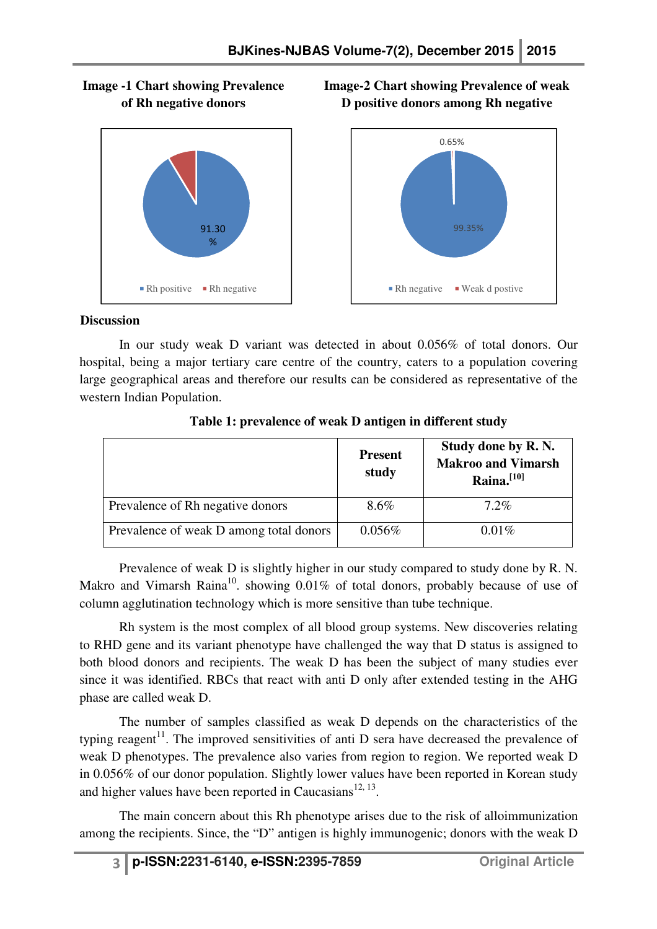



**Image-2 Chart showing Prevalence of weak D positive donors among Rh negative** 



#### **Discussion**

 In our study weak D variant was detected in about 0.056% of total donors. Our hospital, being a major tertiary care centre of the country, caters to a population covering large geographical areas and therefore our results can be considered as representative of the western Indian Population.

|                                         | <b>Present</b><br>study | Study done by R.N.<br><b>Makroo and Vimarsh</b><br>Raina. <sup>[10]</sup> |
|-----------------------------------------|-------------------------|---------------------------------------------------------------------------|
| Prevalence of Rh negative donors        | 8.6%                    | $7.2\%$                                                                   |
| Prevalence of weak D among total donors | 0.056%                  | $0.01\%$                                                                  |

#### **Table 1: prevalence of weak D antigen in different study**

 Prevalence of weak D is slightly higher in our study compared to study done by R. N. Makro and Vimarsh Raina<sup>10</sup>, showing  $0.01\%$  of total donors, probably because of use of column agglutination technology which is more sensitive than tube technique.

 Rh system is the most complex of all blood group systems. New discoveries relating to RHD gene and its variant phenotype have challenged the way that D status is assigned to both blood donors and recipients. The weak D has been the subject of many studies ever since it was identified. RBCs that react with anti D only after extended testing in the AHG phase are called weak D.

 The number of samples classified as weak D depends on the characteristics of the typing reagent<sup>11</sup>. The improved sensitivities of anti D sera have decreased the prevalence of weak D phenotypes. The prevalence also varies from region to region. We reported weak D in 0.056% of our donor population. Slightly lower values have been reported in Korean study and higher values have been reported in Caucasians $^{12, 13}$ .

 The main concern about this Rh phenotype arises due to the risk of alloimmunization among the recipients. Since, the "D" antigen is highly immunogenic; donors with the weak D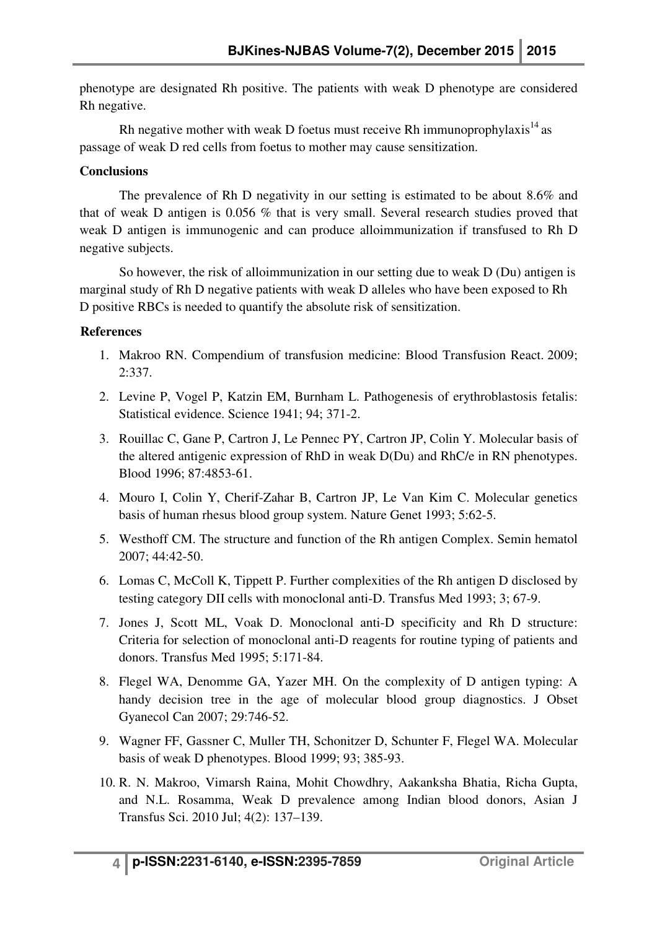phenotype are designated Rh positive. The patients with weak D phenotype are considered Rh negative.

Rh negative mother with weak D foetus must receive Rh immunoprophylaxis $^{14}$  as passage of weak D red cells from foetus to mother may cause sensitization.

## **Conclusions**

 The prevalence of Rh D negativity in our setting is estimated to be about 8.6% and that of weak D antigen is 0.056 % that is very small. Several research studies proved that weak D antigen is immunogenic and can produce alloimmunization if transfused to Rh D negative subjects.

 So however, the risk of alloimmunization in our setting due to weak D (Du) antigen is marginal study of Rh D negative patients with weak D alleles who have been exposed to Rh D positive RBCs is needed to quantify the absolute risk of sensitization.

## **References**

- 1. Makroo RN. Compendium of transfusion medicine: Blood Transfusion React. 2009; 2:337.
- 2. Levine P, Vogel P, Katzin EM, Burnham L. Pathogenesis of erythroblastosis fetalis: Statistical evidence. Science 1941; 94; 371-2.
- 3. Rouillac C, Gane P, Cartron J, Le Pennec PY, Cartron JP, Colin Y. Molecular basis of the altered antigenic expression of RhD in weak D(Du) and RhC/e in RN phenotypes. Blood 1996; 87:4853-61.
- 4. Mouro I, Colin Y, Cherif-Zahar B, Cartron JP, Le Van Kim C. Molecular genetics basis of human rhesus blood group system. Nature Genet 1993; 5:62-5.
- 5. Westhoff CM. The structure and function of the Rh antigen Complex. Semin hematol 2007; 44:42-50.
- 6. Lomas C, McColl K, Tippett P. Further complexities of the Rh antigen D disclosed by testing category DII cells with monoclonal anti-D. Transfus Med 1993; 3; 67-9.
- 7. Jones J, Scott ML, Voak D. Monoclonal anti-D specificity and Rh D structure: Criteria for selection of monoclonal anti-D reagents for routine typing of patients and donors. Transfus Med 1995; 5:171-84.
- 8. Flegel WA, Denomme GA, Yazer MH. On the complexity of D antigen typing: A handy decision tree in the age of molecular blood group diagnostics. J Obset Gyanecol Can 2007; 29:746-52.
- 9. Wagner FF, Gassner C, Muller TH, Schonitzer D, Schunter F, Flegel WA. Molecular basis of weak D phenotypes. Blood 1999; 93; 385-93.
- 10. R. N. Makroo, Vimarsh Raina, Mohit Chowdhry, Aakanksha Bhatia, Richa Gupta, and N.L. Rosamma, Weak D prevalence among Indian blood donors, Asian J Transfus Sci. 2010 Jul; 4(2): 137–139.